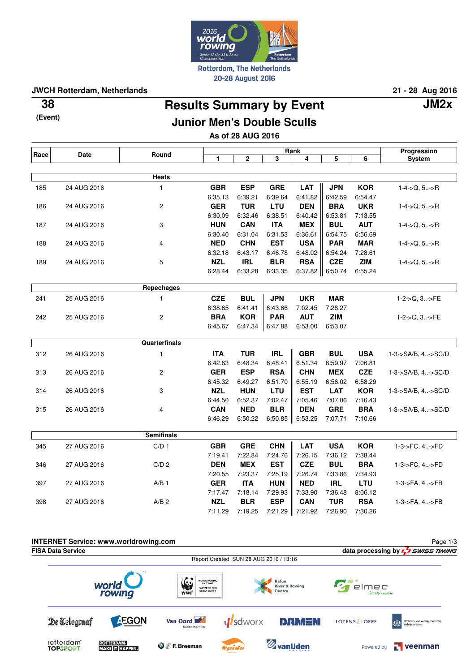

**JWCH Rotterdam, Netherlands 21 - 28 Aug 2016**

**(Event)**

# **Results Summary by Event 38 JM2x Junior Men's Double Sculls**

**As of 28 AUG 2016**

| Race | Date        | Round                |            |            | Progression |            |                   |            |                        |
|------|-------------|----------------------|------------|------------|-------------|------------|-------------------|------------|------------------------|
|      |             |                      | 1          | 2          | 3           | 4          | 5                 | 6          | System                 |
|      |             |                      |            |            |             |            |                   |            |                        |
|      |             | <b>Heats</b>         |            |            |             |            |                   |            |                        |
| 185  | 24 AUG 2016 | $\mathbf{1}$         | <b>GBR</b> | <b>ESP</b> | <b>GRE</b>  | <b>LAT</b> | <b>JPN</b>        | <b>KOR</b> | $1-4$ ->Q, 5->R        |
|      |             |                      | 6:35.13    | 6:39.21    | 6:39.64     | 6:41.82    | 6:42.59           | 6:54.47    |                        |
| 186  | 24 AUG 2016 | $\overline{c}$       | <b>GER</b> | <b>TUR</b> | <b>LTU</b>  | <b>DEN</b> | <b>BRA</b>        | <b>UKR</b> | $1-4$ ->Q, 5->R        |
|      |             |                      | 6:30.09    | 6:32.46    | 6:38.51     | 6:40.42    | 6:53.81           | 7:13.55    |                        |
| 187  | 24 AUG 2016 | 3                    | <b>HUN</b> | <b>CAN</b> | <b>ITA</b>  | <b>MEX</b> | <b>BUL</b>        | <b>AUT</b> | $1 - 4 - > Q, 5 - > R$ |
|      |             |                      | 6:30.40    | 6:31.04    | 6:31.53     | 6:36.61    | 6:54.75           | 6:56.69    |                        |
| 188  | 24 AUG 2016 | 4                    | <b>NED</b> | <b>CHN</b> | <b>EST</b>  | <b>USA</b> | <b>PAR</b>        | <b>MAR</b> | $1 - 4 - > Q, 5 - > R$ |
|      |             |                      | 6:32.18    | 6:43.17    | 6:46.78     | 6:48.02    | 6:54.24           | 7:28.61    |                        |
| 189  | 24 AUG 2016 | 5                    | <b>NZL</b> | <b>IRL</b> | <b>BLR</b>  | <b>RSA</b> | <b>CZE</b>        | <b>ZIM</b> | $1-4$ ->Q, 5->R        |
|      |             |                      | 6:28.44    | 6:33.28    | 6:33.35     |            | $6:37.82$ 6:50.74 | 6:55.24    |                        |
|      |             | Repechages           |            |            |             |            |                   |            |                        |
| 241  | 25 AUG 2016 | $\mathbf{1}$         | <b>CZE</b> | <b>BUL</b> | <b>JPN</b>  | <b>UKR</b> | <b>MAR</b>        |            | 1-2->Q, 3->FE          |
|      |             |                      | 6:38.65    | 6:41.41    | 6:43.66     | 7:02.45    | 7:28.27           |            |                        |
| 242  | 25 AUG 2016 | $\overline{c}$       | <b>BRA</b> | <b>KOR</b> | <b>PAR</b>  | <b>AUT</b> | <b>ZIM</b>        |            | $1-2-5Q, 3$ - $FE$     |
|      |             |                      | 6:45.67    | $6:47.34$  | 6:47.88     | 6:53.00    | 6:53.07           |            |                        |
|      |             |                      |            |            |             |            |                   |            |                        |
|      |             | <b>Quarterfinals</b> |            |            |             |            |                   |            |                        |
| 312  | 26 AUG 2016 | $\mathbf{1}$         | <b>ITA</b> | <b>TUR</b> | <b>IRL</b>  | <b>GBR</b> | <b>BUL</b>        | <b>USA</b> | 1-3->SA/B, 4->SC/D     |
|      |             |                      | 6:42.63    | 6:48.34    | 6:48.41     | 6:51.34    | 6:59.97           | 7:06.81    |                        |
| 313  | 26 AUG 2016 | $\overline{c}$       | <b>GER</b> | <b>ESP</b> | <b>RSA</b>  | <b>CHN</b> | <b>MEX</b>        | <b>CZE</b> | 1-3->SA/B, 4->SC/D     |
|      |             |                      | 6:45.32    | 6:49.27    | 6:51.70     | 6:55.19    | 6:56.02           | 6:58.29    |                        |
| 314  | 26 AUG 2016 | 3                    | <b>NZL</b> | <b>HUN</b> | <b>LTU</b>  | <b>EST</b> | <b>LAT</b>        | <b>KOR</b> | 1-3->SA/B, 4->SC/D     |
|      |             |                      | 6:44.50    | 6:52.37    | 7:02.47     | 7:05.46    | 7:07.06           | 7:16.43    |                        |
| 315  | 26 AUG 2016 | 4                    | <b>CAN</b> | <b>NED</b> | <b>BLR</b>  | <b>DEN</b> | <b>GRE</b>        | <b>BRA</b> | 1-3->SA/B, 4->SC/D     |
|      |             |                      | 6:46.29    | 6:50.22    | 6:50.85     | 6:53.25    | 7:07.71           | 7:10.66    |                        |
|      |             | <b>Semifinals</b>    |            |            |             |            |                   |            |                        |
|      |             |                      |            |            |             |            |                   |            |                        |
| 345  | 27 AUG 2016 | C/D <sub>1</sub>     | <b>GBR</b> | <b>GRE</b> | <b>CHN</b>  | <b>LAT</b> | <b>USA</b>        | <b>KOR</b> | 1-3->FC, 4->FD         |
|      |             |                      | 7:19.41    | 7:22.84    | 7:24.76     | 7:26.15    | 7:36.12           | 7:38.44    |                        |
| 346  | 27 AUG 2016 | C/D <sub>2</sub>     | <b>DEN</b> | <b>MEX</b> | <b>EST</b>  | <b>CZE</b> | <b>BUL</b>        | <b>BRA</b> | 1-3->FC, 4->FD         |
|      |             |                      | 7:20.55    | 7:23.37    | 7:25.19     | 7:26.74    | 7:33.86           | 7:34.93    |                        |
| 397  | 27 AUG 2016 | A/B <sub>1</sub>     | <b>GER</b> | <b>ITA</b> | <b>HUN</b>  | <b>NED</b> | <b>IRL</b>        | LTU        | 1-3->FA, 4->FB         |
|      |             |                      | 7:17.47    | 7:18.14    | 7:29.93     | 7:33.90    | 7:36.48           | 8:06.12    |                        |
| 398  | 27 AUG 2016 | A/B <sub>2</sub>     | <b>NZL</b> | <b>BLR</b> | <b>ESP</b>  | <b>CAN</b> | <b>TUR</b>        | <b>RSA</b> | 1-3->FA, 4->FB         |
|      |             |                      | 7:11.29    | 7:19.25    | 7:21.29     | 7:21.92    | 7:26.90           | 7:30.26    |                        |
|      |             |                      |            |            |             |            |                   |            |                        |
|      |             |                      |            |            |             |            |                   |            |                        |

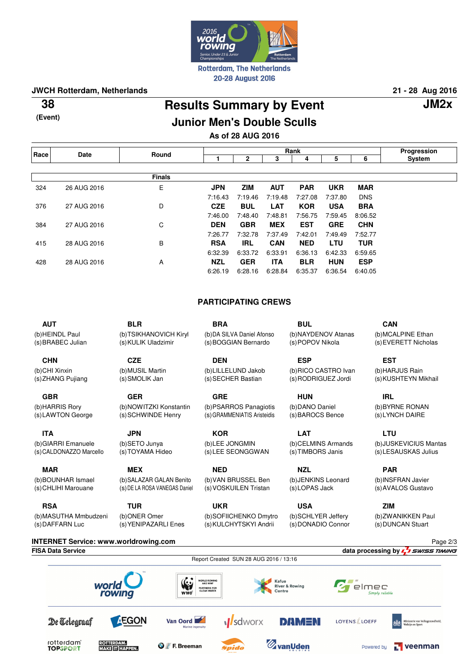

## **JWCH Rotterdam, Netherlands 21 - 28 Aug 2016**

**(Event)**

## **Results Summary by Event 38 JM2x Junior Men's Double Sculls**

Page 2/3

elmec

Powered by

ply reliable

 $\Gamma$  veenman

# **As of 28 AUG 2016**

| Race | <b>Date</b> | Round         | Rank       |            |            |            |            |            | Progression |
|------|-------------|---------------|------------|------------|------------|------------|------------|------------|-------------|
|      |             |               |            | 2          | 3          | 4          | 5          | 6          | System      |
|      |             |               |            |            |            |            |            |            |             |
|      |             | <b>Finals</b> |            |            |            |            |            |            |             |
| 324  | 26 AUG 2016 | Е             | <b>JPN</b> | <b>ZIM</b> | <b>AUT</b> | <b>PAR</b> | <b>UKR</b> | <b>MAR</b> |             |
|      |             |               | 7:16.43    | 7:19.46    | 7:19.48    | 7:27.08    | 7:37.80    | <b>DNS</b> |             |
| 376  | 27 AUG 2016 | D             | <b>CZE</b> | <b>BUL</b> | <b>LAT</b> | <b>KOR</b> | <b>USA</b> | <b>BRA</b> |             |
|      |             |               | 7:46.00    | 7:48.40    | 7:48.81    | 7:56.75    | 7:59.45    | 8:06.52    |             |
| 384  | 27 AUG 2016 | C             | <b>DEN</b> | <b>GBR</b> | <b>MEX</b> | <b>EST</b> | <b>GRE</b> | <b>CHN</b> |             |
|      |             |               | 7:26.77    | 7:32.78    | 7:37.49    | 7:42.01    | 7:49.49    | 7:52.77    |             |
| 415  | 28 AUG 2016 | В             | <b>RSA</b> | <b>IRL</b> | <b>CAN</b> | <b>NED</b> | <b>LTU</b> | <b>TUR</b> |             |
|      |             |               | 6:32.39    | 6:33.72    | 6:33.91    | 6:36.13    | 6:42.33    | 6:59.65    |             |
| 428  | 28 AUG 2016 | Α             | <b>NZL</b> | <b>GER</b> | <b>ITA</b> | <b>BLR</b> | <b>HUN</b> | <b>ESP</b> |             |
|      |             |               | 6:26.19    | 6:28.16    | 6:28.84    | 6:35.37    | 6:36.54    | 6:40.05    |             |

### **PARTICIPATING CREWS**

**AUT** (b) HEINDL Paul (s) BRABEC Julian **BLR** (b) TSIKHANOVICH Kiryl (s) KULIK Uladzimir **BRA** (b) DA SILVA Daniel Afonso (s) BOGGIAN Bernardo **BUL** (b) NAYDENOV Atanas (s) POPOV Nikola **CAN** (b) MCALPINE Ethan (s) EVERETT Nicholas **CHN** (b) CHI Xinxin (s) ZHANG Pujiang **CZE** (b) MUSIL Martin (s) SMOLIK Jan **DEN** (b) LILLELUND Jakob (s) SECHER Bastian **ESP** (b) RICO CASTRO Ivan (s) RODRIGUEZ Jordi **EST** (b) HARJUS Rain (s) KUSHTEYN Mikhail **GBR** (b) HARRIS Rory (s) LAWTON George **GER** (b) NOWITZKI Konstantin (s) SCHWINDE Henry **GRE** (b) PSARROS Panagiotis (s) GRAMMENIATIS Aristeidis **HUN** (b) DANO Daniel (s) BAROCS Bence **IRL** (b) BYRNE RONAN (s) LYNCH DAIRE **ITA** (b) GIARRI Emanuele (s) CALDONAZZO Marcello **JPN** (b) SETO Junya (s) TOYAMA Hideo **KOR** (b) LEE JONGMIN (s) LEE SEONGGWAN **LAT** (b) CELMINS Armands (s) TIMBORS Janis **LTU** (b) JUSKEVICIUS Mantas (s) LESAUSKAS Julius **MAR** (b) BOUNHAR Ismael (s) CHLIHI Marouane **MEX** (b) SALAZAR GALAN Benito (s) DE LA ROSA VANEGAS Daniel **NED** (b) VAN BRUSSEL Ben (s) VOSKUILEN Tristan **NZL** (b) JENKINS Leonard (s) LOPAS Jack **PAR** (b) INSFRAN Javier (s) AVALOS Gustavo **RSA** (b) MASUTHA Mmbudzeni **TUR** (b) ONER Omer **UKR** (b) SOFIICHENKO Dmytro **USA** (b) SCHLYER Jeffery **ZIM** (b) ZWANIKKEN Paul (s) DUNCAN Stuart

(s) DAFFARN Luc (s) YENIPAZARLI Enes (s) KULCHYTSKYI Andrii (s) DONADIO Connor **INTERNET Service: www.worldrowing.com FISA Data Service data processing by**  Report Created SUN 28 AUG 2016 / 13:16  $\mathbf{G}$ **WORLD ROWING**<br>AND WWF Kafue world **River & Rowing PARTNERS FOR**<br>CLEAN WATER rowing **WWF** De Telegraaf **EGON** Van Oord **M**sdworx **DAMEN LOYENS LOEFF** rotterdam<br>TOPSPORT **ZvanUden ROTTERDAM.**<br>MAKE IT HAPPEN. **O F**. Breeman